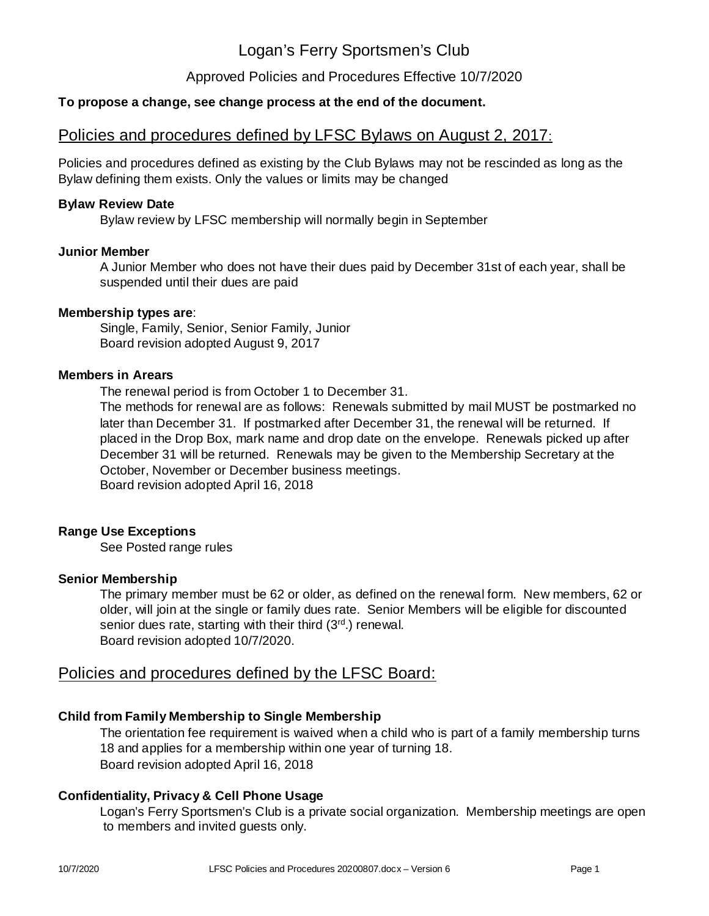Approved Policies and Procedures Effective 10/7/2020

# **To propose a change, see change process at the end of the document.**

# Policies and procedures defined by LFSC Bylaws on August 2, 2017:

Policies and procedures defined as existing by the Club Bylaws may not be rescinded as long as the Bylaw defining them exists. Only the values or limits may be changed

#### **Bylaw Review Date**

Bylaw review by LFSC membership will normally begin in September

#### **Junior Member**

A Junior Member who does not have their dues paid by December 31st of each year, shall be suspended until their dues are paid

#### : **Membership types are**

Single, Family, Senior, Senior Family, Junior Board revision adopted August 9, 2017

#### **Members in Arears**

The renewal period is from October 1 to December 31.

The methods for renewal are as follows: Renewals submitted by mail MUST be postmarked no later than December 31. If postmarked after December 31, the renewal will be returned. If placed in the Drop Box, mark name and drop date on the envelope. Renewals picked up after December 31 will be returned. Renewals may be given to the Membership Secretary at the October, November or December business meetings. Board revision adopted April 16, 2018

#### **Range Use Exceptions**

See Posted range rules

#### **Senior Membership**

The primary member must be 62 or older, as defined on the renewal form. New members, 62 or older, will join at the single or family dues rate. Senior Members will be eligible for discounted senior dues rate, starting with their third (3<sup>rd</sup>.) renewal. Board revision adopted 10/7/2020.

# Policies and procedures defined by the LFSC Board:

#### **Child from Family Membership to Single Membership**

The orientation fee requirement is waived when a child who is part of a family membership turns 18 and applies for a membership within one year of turning 18. Board revision adopted April 16, 2018

#### **Confidentiality, Privacy & Cell Phone Usage**

Logan's Ferry Sportsmen's Club is a private social organization. Membership meetings are open to members and invited guests only.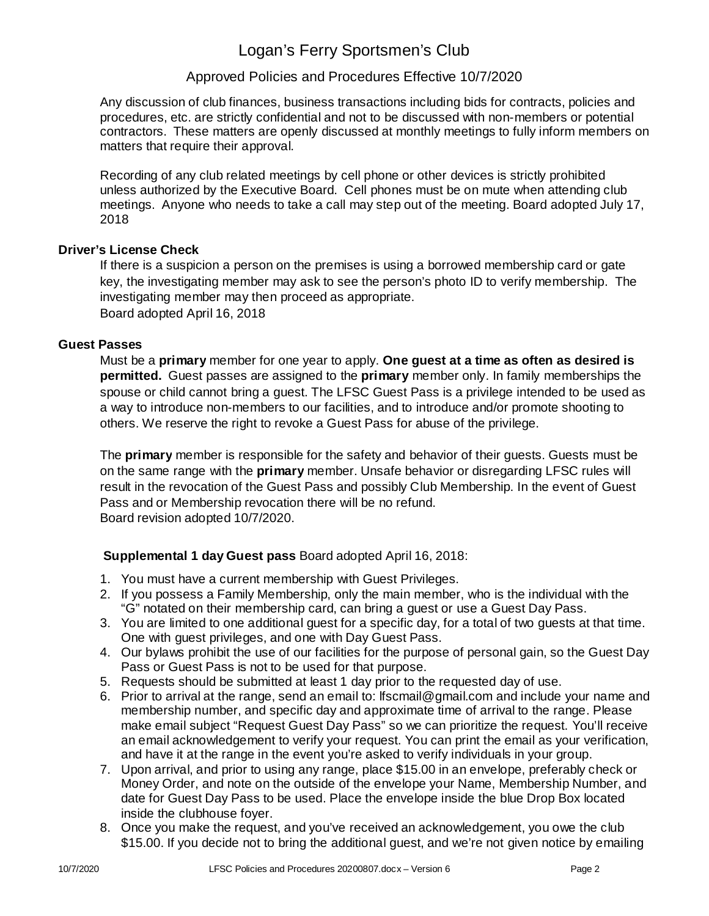# Approved Policies and Procedures Effective 10/7/2020

Any discussion of club finances, business transactions including bids for contracts, policies and procedures, etc. are strictly confidential and not to be discussed with non-members or potential contractors. These matters are openly discussed at monthly meetings to fully inform members on matters that require their approval.

Recording of any club related meetings by cell phone or other devices is strictly prohibited unless authorized by the Executive Board. Cell phones must be on mute when attending club meetings. Anyone who needs to take a call may step out of the meeting. Board adopted July 17, 2018

#### **Driver's License Check**

If there is a suspicion a person on the premises is using a borrowed membership card or gate key, the investigating member may ask to see the person's photo ID to verify membership. The investigating member may then proceed as appropriate. Board adopted April 16, 2018

#### **Guest Passes**

Must be a **primary** member for one year to apply. One guest at a time as often as desired is **permitted.** Guest passes are assigned to the **primary** member only. In family memberships the spouse or child cannot bring a guest. The LFSC Guest Pass is a privilege intended to be used as a way to introduce non-members to our facilities, and to introduce and/or promote shooting to others. We reserve the right to revoke a Guest Pass for abuse of the privilege.

The **primary** member is responsible for the safety and behavior of their guests. Guests must be on the same range with the **primary** member. Unsafe behavior or disregarding LFSC rules will result in the revocation of the Guest Pass and possibly Club Membership. In the event of Guest Pass and or Membership revocation there will be no refund. Board revision adopted 10/7/2020.

# **Supplemental 1 day Guest pass** Board adopted April 16, 2018:

- 1. You must have a current membership with Guest Privileges.
- 2. If you possess a Family Membership, only the main member, who is the individual with the "G" notated on their membership card, can bring a guest or use a Guest Day Pass.
- 3. You are limited to one additional guest for a specific day, for a total of two guests at that time. One with guest privileges, and one with Day Guest Pass.
- 4. Our bylaws prohibit the use of our facilities for the purpose of personal gain, so the Guest Day Pass or Guest Pass is not to be used for that purpose.
- 5. Requests should be submitted at least 1 day prior to the requested day of use.
- 6. Prior to arrival at the range, send an email to: lfscmail@gmail.com and include your name and membership number, and specific day and approximate time of arrival to the range. Please make email subject "Request Guest Day Pass" so we can prioritize the request. You'll receive an email acknowledgement to verify your request. You can print the email as your verification, and have it at the range in the event you're asked to verify individuals in your group.
- 7. Upon arrival, and prior to using any range, place \$15.00 in an envelope, preferably check or Money Order, and note on the outside of the envelope your Name, Membership Number, and date for Guest Day Pass to be used. Place the envelope inside the blue Drop Box located inside the clubhouse foyer.
- 8. Once you make the request, and you've received an acknowledgement, you owe the club \$15.00. If you decide not to bring the additional guest, and we're not given notice by emailing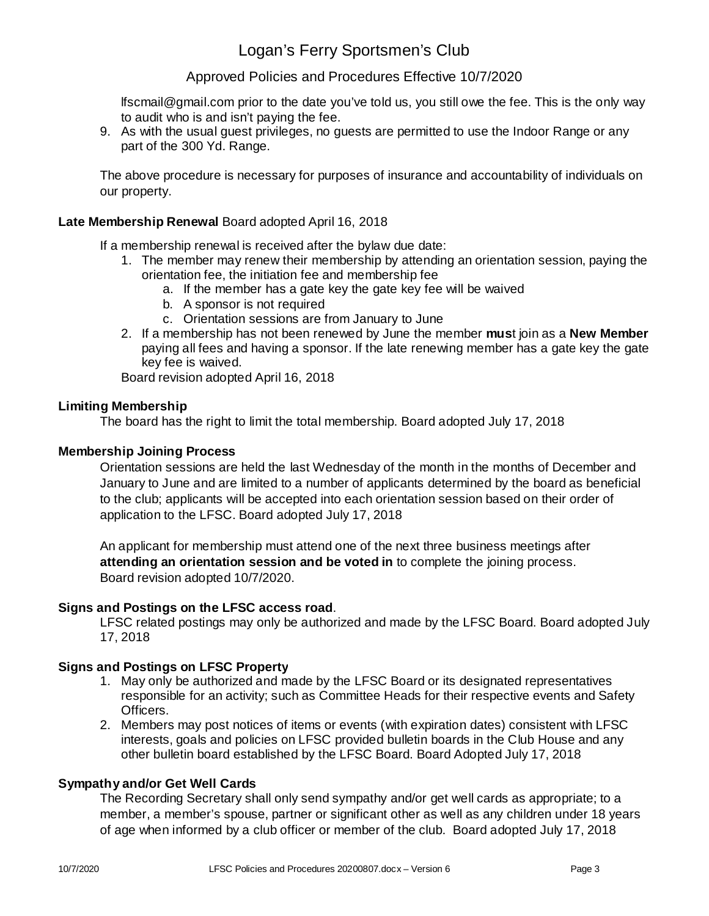### Approved Policies and Procedures Effective 10/7/2020

lfscmail@gmail.com prior to the date you've told us, you still owe the fee. This is the only way to audit who is and isn't paying the fee.

9. As with the usual guest privileges, no guests are permitted to use the Indoor Range or any part of the 300 Yd. Range.

The above procedure is necessary for purposes of insurance and accountability of individuals on our property.

#### **Late Membership Renewal** Board adopted April 16, 2018

If a membership renewal is received after the bylaw due date:

- 1. The member may renew their membership by attending an orientation session, paying the orientation fee, the initiation fee and membership fee
	- a. If the member has a gate key the gate key fee will be waived
	- b. A sponsor is not required
	- c. Orientation sessions are from January to June
- 2. If a membership has not been renewed by June the member **mus**t join as a **New Member** paying all fees and having a sponsor. If the late renewing member has a gate key the gate key fee is waived.

Board revision adopted April 16, 2018

#### **Limiting Membership**

The board has the right to limit the total membership. Board adopted July 17, 2018

#### **Membership Joining Process**

Orientation sessions are held the last Wednesday of the month in the months of December and January to June and are limited to a number of applicants determined by the board as beneficial to the club; applicants will be accepted into each orientation session based on their order of application to the LFSC. Board adopted July 17, 2018

An applicant for membership must attend one of the next three business meetings after **attending an orientation session and be voted in** to complete the joining process. Board revision adopted 10/7/2020.

#### . **Signs and Postings on the LFSC access road**

LFSC related postings may only be authorized and made by the LFSC Board. Board adopted July 17, 2018

#### **Signs and Postings on LFSC Property**

- 1. May only be authorized and made by the LFSC Board or its designated representatives responsible for an activity; such as Committee Heads for their respective events and Safety Officers.
- 2. Members may post notices of items or events (with expiration dates) consistent with LFSC interests, goals and policies on LFSC provided bulletin boards in the Club House and any other bulletin board established by the LFSC Board. Board Adopted July 17, 2018

#### **Sympathy and/or Get Well Cards**

The Recording Secretary shall only send sympathy and/or get well cards as appropriate; to a member, a member's spouse, partner or significant other as well as any children under 18 years of age when informed by a club officer or member of the club. Board adopted July 17, 2018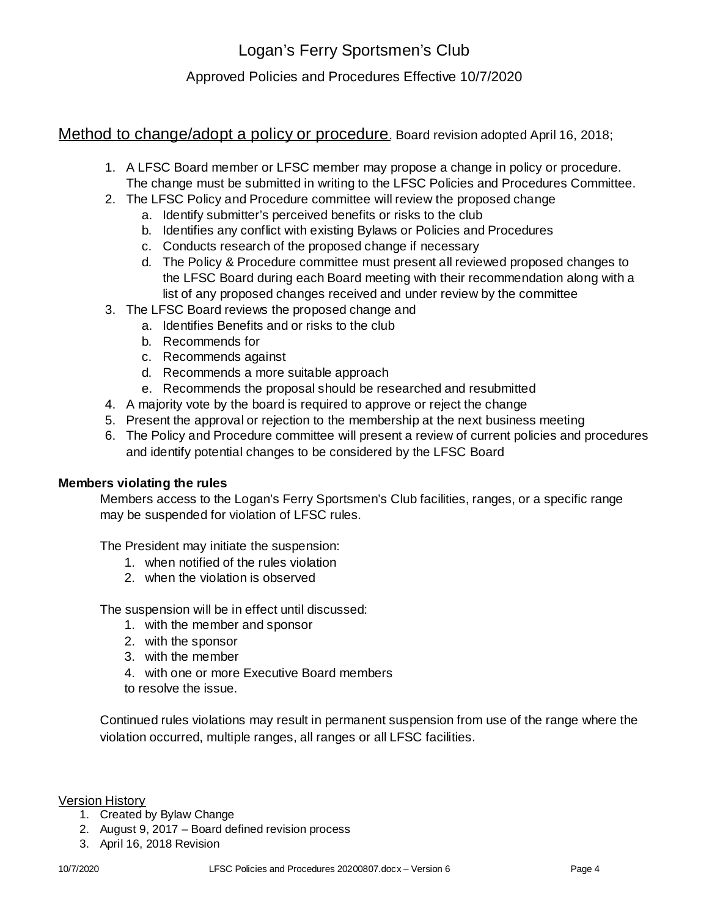Approved Policies and Procedures Effective 10/7/2020

Method to change/adopt a policy or procedure. Board revision adopted April 16, 2018;

- 1. A LFSC Board member or LFSC member may propose a change in policy or procedure. The change must be submitted in writing to the LFSC Policies and Procedures Committee.
- 2. The LFSC Policy and Procedure committee will review the proposed change
	- a. Identify submitter's perceived benefits or risks to the club
	- b. Identifies any conflict with existing Bylaws or Policies and Procedures
	- c. Conducts research of the proposed change if necessary
	- d. The Policy & Procedure committee must present all reviewed proposed changes to the LFSC Board during each Board meeting with their recommendation along with a list of any proposed changes received and under review by the committee
- 3. The LFSC Board reviews the proposed change and
	- a. Identifies Benefits and or risks to the club
	- b. Recommends for
	- c. Recommends against
	- d. Recommends a more suitable approach
	- e. Recommends the proposal should be researched and resubmitted
- 4. A majority vote by the board is required to approve or reject the change
- 5. Present the approval or rejection to the membership at the next business meeting
- 6. The Policy and Procedure committee will present a review of current policies and procedures and identify potential changes to be considered by the LFSC Board

#### **Members violating the rules**

Members access to the Logan's Ferry Sportsmen's Club facilities, ranges, or a specific range may be suspended for violation of LFSC rules.

The President may initiate the suspension:

- 1. when notified of the rules violation
- 2. when the violation is observed

The suspension will be in effect until discussed:

- 1. with the member and sponsor
- 2. with the sponsor
- 3. with the member
- 4. with one or more Executive Board members
- to resolve the issue.

Continued rules violations may result in permanent suspension from use of the range where the violation occurred, multiple ranges, all ranges or all LFSC facilities.

Version History

- 1. Created by Bylaw Change
- 2. August 9, 2017 Board defined revision process
- 3. April 16, 2018 Revision